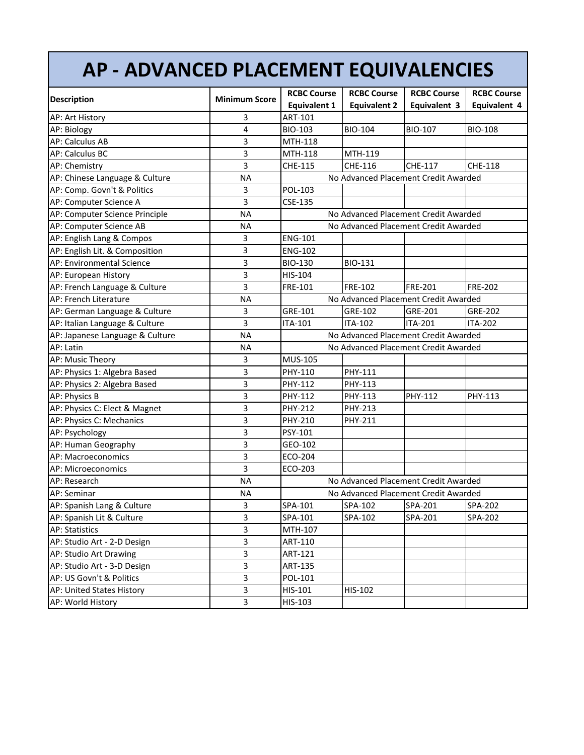## **AP ‐ ADVANCED PLACEMENT EQUIVALENCIES**

| <b>Description</b>              | <b>Minimum Score</b> | <b>RCBC Course</b>                   | <b>RCBC Course</b>  | <b>RCBC Course</b> | <b>RCBC Course</b> |  |
|---------------------------------|----------------------|--------------------------------------|---------------------|--------------------|--------------------|--|
|                                 |                      | <b>Equivalent 1</b>                  | <b>Equivalent 2</b> | Equivalent 3       | Equivalent 4       |  |
| AP: Art History                 | 3                    | ART-101                              |                     |                    |                    |  |
| AP: Biology                     | 4                    | BIO-103                              | <b>BIO-104</b>      | BIO-107            | <b>BIO-108</b>     |  |
| <b>AP: Calculus AB</b>          | 3                    | MTH-118                              |                     |                    |                    |  |
| AP: Calculus BC                 | 3                    | MTH-118                              | MTH-119             |                    |                    |  |
| AP: Chemistry                   | 3                    | CHE-115                              | CHE-116             | <b>CHE-117</b>     | CHE-118            |  |
| AP: Chinese Language & Culture  | <b>NA</b>            | No Advanced Placement Credit Awarded |                     |                    |                    |  |
| AP: Comp. Govn't & Politics     | 3                    | POL-103                              |                     |                    |                    |  |
| AP: Computer Science A          | 3                    | CSE-135                              |                     |                    |                    |  |
| AP: Computer Science Principle  | <b>NA</b>            | No Advanced Placement Credit Awarded |                     |                    |                    |  |
| AP: Computer Science AB         | <b>NA</b>            | No Advanced Placement Credit Awarded |                     |                    |                    |  |
| AP: English Lang & Compos       | 3                    | <b>ENG-101</b>                       |                     |                    |                    |  |
| AP: English Lit. & Composition  | 3                    | <b>ENG-102</b>                       |                     |                    |                    |  |
| AP: Environmental Science       | 3                    | <b>BIO-130</b>                       | <b>BIO-131</b>      |                    |                    |  |
| AP: European History            | 3                    | HIS-104                              |                     |                    |                    |  |
| AP: French Language & Culture   | 3                    | FRE-101                              | <b>FRE-102</b>      | <b>FRE-201</b>     | <b>FRE-202</b>     |  |
| AP: French Literature           | <b>NA</b>            | No Advanced Placement Credit Awarded |                     |                    |                    |  |
| AP: German Language & Culture   | 3                    | GRE-101                              | GRE-102             | GRE-201            | GRE-202            |  |
| AP: Italian Language & Culture  | 3                    | ITA-101                              | <b>ITA-102</b>      | <b>ITA-201</b>     | <b>ITA-202</b>     |  |
| AP: Japanese Language & Culture | <b>NA</b>            | No Advanced Placement Credit Awarded |                     |                    |                    |  |
| AP: Latin                       | <b>NA</b>            | No Advanced Placement Credit Awarded |                     |                    |                    |  |
| AP: Music Theory                | 3                    | <b>MUS-105</b>                       |                     |                    |                    |  |
| AP: Physics 1: Algebra Based    | 3                    | PHY-110                              | PHY-111             |                    |                    |  |
| AP: Physics 2: Algebra Based    | 3                    | PHY-112                              | PHY-113             |                    |                    |  |
| AP: Physics B                   | 3                    | PHY-112                              | PHY-113             | PHY-112            | PHY-113            |  |
| AP: Physics C: Elect & Magnet   | 3                    | PHY-212                              | PHY-213             |                    |                    |  |
| AP: Physics C: Mechanics        | 3                    | PHY-210                              | PHY-211             |                    |                    |  |
| AP: Psychology                  | 3                    | PSY-101                              |                     |                    |                    |  |
| AP: Human Geography             | 3                    | GEO-102                              |                     |                    |                    |  |
| AP: Macroeconomics              | 3                    | ECO-204                              |                     |                    |                    |  |
| AP: Microeconomics              | 3                    | ECO-203                              |                     |                    |                    |  |
| AP: Research                    | <b>NA</b>            | No Advanced Placement Credit Awarded |                     |                    |                    |  |
| <b>AP: Seminar</b>              | <b>NA</b>            | No Advanced Placement Credit Awarded |                     |                    |                    |  |
| AP: Spanish Lang & Culture      | 3                    | SPA-101                              | SPA-102             | SPA-201            | SPA-202            |  |
| AP: Spanish Lit & Culture       | 3                    | SPA-101                              | SPA-102             | SPA-201            | SPA-202            |  |
| AP: Statistics                  | 3                    | MTH-107                              |                     |                    |                    |  |
| AP: Studio Art - 2-D Design     | 3                    | ART-110                              |                     |                    |                    |  |
| AP: Studio Art Drawing          | 3                    | ART-121                              |                     |                    |                    |  |
| AP: Studio Art - 3-D Design     | 3                    | ART-135                              |                     |                    |                    |  |
| AP: US Govn't & Politics        | 3                    | POL-101                              |                     |                    |                    |  |
| AP: United States History       | 3                    | HIS-101                              | HIS-102             |                    |                    |  |
| AP: World History               | 3                    | HIS-103                              |                     |                    |                    |  |